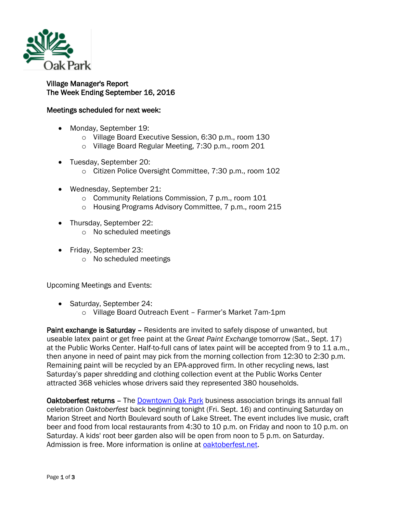

## Village Manager's Report The Week Ending September 16, 2016

## Meetings scheduled for next week:

- Monday, September 19:
	- o Village Board Executive Session, 6:30 p.m., room 130
	- o Village Board Regular Meeting, 7:30 p.m., room 201
- Tuesday, September 20:
	- o Citizen Police Oversight Committee, 7:30 p.m., room 102
- Wednesday, September 21:
	- o Community Relations Commission, 7 p.m., room 101
	- o Housing Programs Advisory Committee, 7 p.m., room 215
- Thursday, September 22:
	- o No scheduled meetings
- Friday, September 23:
	- o No scheduled meetings

Upcoming Meetings and Events:

- Saturday, September 24:
	- o Village Board Outreach Event Farmer's Market 7am-1pm

Paint exchange is Saturday – Residents are invited to safely dispose of unwanted, but useable latex paint or get free paint at the *Great Paint Exchange* tomorrow (Sat., Sept. 17) at the Public Works Center. Half-to-full cans of latex paint will be accepted from 9 to 11 a.m., then anyone in need of paint may pick from the morning collection from 12:30 to 2:30 p.m. Remaining paint will be recycled by an EPA-approved firm. In other recycling news, last Saturday's paper shredding and clothing collection event at the Public Works Center attracted 368 vehicles whose drivers said they represented 380 households.

Oaktoberfest returns – The [Downtown Oak Park](http://www.downtownoakpark.net/index.html) business association brings its annual fall celebration *Oaktoberfest* back beginning tonight (Fri. Sept. 16) and continuing Saturday on Marion Street and North Boulevard south of Lake Street. The event includes live music, craft beer and food from local restaurants from 4:30 to 10 p.m. on Friday and noon to 10 p.m. on Saturday. A kids' root beer garden also will be open from noon to 5 p.m. on Saturday. Admission is free. More information is online at [oaktoberfest.net.](http://r20.rs6.net/tn.jsp?f=00124-Gb_myo7dW5hmkq33dR7VLhagFjtdEb0amAcnNJwAL6QLCBATdtlk-_1XQtrgQ-dAr9Pn1xcfSOGBLALnpAUSP9Og8QoFHi-dmTsUF0YZKyrQyNztBCZA7DIdNMNpDkVsoD6tSEbWn7cLHgF_YEyeFtcKEzb_QMyBFPlKOuB3zRcK-UF7LC7244VAd8cKCIh8ihhk4DEKYnc2kltXryFJ5iNf_MzYA1bQvcGfgvY0Rid5C7mHfemXSYzVW4wN0VtnoubPjVk2MBTHa5gXKPjVMLvDg3Mlp&c=-JR35YC_NLQlW3gEgBUTg9zlXJVh1vcd7N0Q8gV-F1iwByuP8XFvrg==&ch=Lxt6vk79XdngIKKDbEVWLO-9u-d2YUStQHU0yHZ25kg6OcqlA-e9XA==)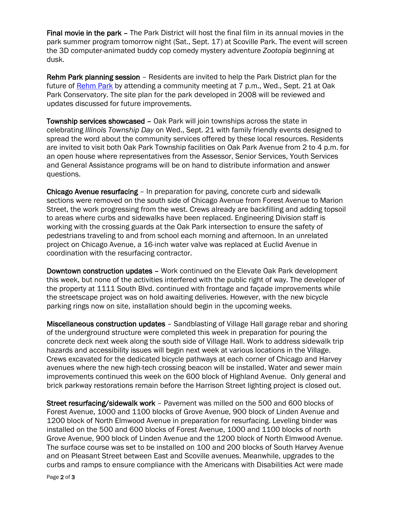Final movie in the park – The Park District will host the final film in its annual movies in the park summer program tomorrow night (Sat., Sept. 17) at Scoville Park. The event will screen the 3D computer-animated buddy cop comedy mystery adventure *Zootopia* beginning at dusk.

Rehm Park planning session – Residents are invited to help the Park District plan for the future of [Rehm Park](http://r20.rs6.net/tn.jsp?f=00124-Gb_myo7dW5hmkq33dR7VLhagFjtdEb0amAcnNJwAL6QLCBATdtsJcfctNjCtrBFp4GzZcak3grC3VuDtWguixXCszLKur-9smJSSa1xHmNTXbLm3hm-iOGU64ktjLA1mkrfqX5WuHeqwmC-OJ2BDeOxy-Vqsg9Z4x-iWvcKbnbbfMALWLt9ejJR7UTp7BEqibHs9MjIBdCi3PMPilNVgm30U1MhGdRqfaMlfFYpmIdib9aFw76iCfaTfDMKB6am-lk9sSQrByNk9kqE6EFxY00K4NXM5b-mbsewLY83L_7_wJ8Ii2z8tZlJfT0L8m0McOsbdGUV8=&c=-JR35YC_NLQlW3gEgBUTg9zlXJVh1vcd7N0Q8gV-F1iwByuP8XFvrg==&ch=Lxt6vk79XdngIKKDbEVWLO-9u-d2YUStQHU0yHZ25kg6OcqlA-e9XA==) by attending a community meeting at 7 p.m., Wed., Sept. 21 at Oak Park Conservatory. The site plan for the park developed in 2008 will be reviewed and updates discussed for future improvements.

Township services showcased – Oak Park will join townships across the state in celebrating *Illinois Township Day* on Wed., Sept. 21 with family friendly events designed to spread the word about the community services offered by these local resources. Residents are invited to visit both Oak Park Township facilities on Oak Park Avenue from 2 to 4 p.m. for an open house where representatives from the Assessor, Senior Services, Youth Services and General Assistance programs will be on hand to distribute information and answer questions.

Chicago Avenue resurfacing – In preparation for paving, concrete curb and sidewalk sections were removed on the south side of Chicago Avenue from Forest Avenue to Marion Street, the work progressing from the west. Crews already are backfilling and adding topsoil to areas where curbs and sidewalks have been replaced. Engineering Division staff is working with the crossing guards at the Oak Park intersection to ensure the safety of pedestrians traveling to and from school each morning and afternoon. In an unrelated project on Chicago Avenue, a 16-inch water valve was replaced at Euclid Avenue in coordination with the resurfacing contractor.

Downtown construction updates – Work continued on the Elevate Oak Park development this week, but none of the activities interfered with the public right of way. The developer of the property at 1111 South Blvd. continued with frontage and façade improvements while the streetscape project was on hold awaiting deliveries. However, with the new bicycle parking rings now on site, installation should begin in the upcoming weeks.

Miscellaneous construction updates – Sandblasting of Village Hall garage rebar and shoring of the underground structure were completed this week in preparation for pouring the concrete deck next week along the south side of Village Hall. Work to address sidewalk trip hazards and accessibility issues will begin next week at various locations in the Village. Crews excavated for the dedicated bicycle pathways at each corner of Chicago and Harvey avenues where the new high-tech crossing beacon will be installed. Water and sewer main improvements continued this week on the 600 block of Highland Avenue. Only general and brick parkway restorations remain before the Harrison Street lighting project is closed out.

Street resurfacing/sidewalk work – Pavement was milled on the 500 and 600 blocks of Forest Avenue, 1000 and 1100 blocks of Grove Avenue, 900 block of Linden Avenue and 1200 block of North Elmwood Avenue in preparation for resurfacing. Leveling binder was installed on the 500 and 600 blocks of Forest Avenue, 1000 and 1100 blocks of north Grove Avenue, 900 block of Linden Avenue and the 1200 block of North Elmwood Avenue. The surface course was set to be installed on 100 and 200 blocks of South Harvey Avenue and on Pleasant Street between East and Scoville avenues. Meanwhile, upgrades to the curbs and ramps to ensure compliance with the Americans with Disabilities Act were made